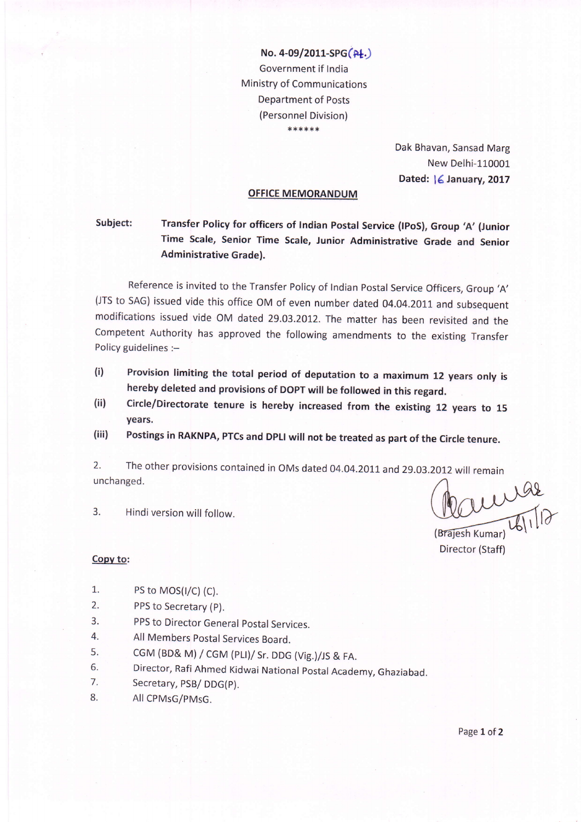No. 4-09/2011-SPG(Pt.) Government if lndia Ministry of Communications Department of Posts (Personnel Division) \*\*\*\*\*\*

> Dak Bhavan, Sansad Marg New Delhi-110001 Dated: | 6 January, 2017

## OFFICE MEMORANDUM

Subject: Transfer Policy for officers of Indian Postal Service (IPoS), Group 'A' (Junior Time scale, Senior Time scale, Junior Administrative Grade and senior Administrative Grade).

Reference is invited to the Transfer Policy of Indian Postal Service Officers, Group 'A' (JTS to SAG) issued vide this office OM of even number dated 04.04.2011 and subsequent modifications issued vide OM dated 29.03 .2OI2. The matter has been revisited and the Competent Authority has approved the following amendments to the existing Transfer Policy guidelines :-

- Provision limiting the total period of deputation to a maximum 12 years only is hereby deleted and provisions of Dopr wiil be foilowed in this regard. (i)
- Circle/Directorate tenure is hereby increased from the existing 12 years to <sup>15</sup> years.  $(ii)$
- Postings in RAKNPA, PTCs and DPLI will not be treated as part of the Circle tenure. (iii)

2. The other provisions contained in OMs dated 04.04.2011 and 29.03.2012 will remain unchanged.

3. Hindi version will follow.

Cauciae

(Braiesh Kumar Director (Staff)

- Copv to:
- 1.  $PS \text{ to } MOS(I/C) (C)$ .
- 2. PPS to Secretary (p).
- 3. PPS to Director General postal Services.
- 4. All Members Postal Services Board.
- 
- s. cGM (BD& M) / cGM (PLI)/ Sr. DDG (Vig.)/JS & FA.<br>6. Director, Rafi Ahmed Kidwai National Postal Academy, Ghaziabad.<br>7. Secretary, PSB/ DDG(P).
- 
- 8. AIICPMsG/pMsG.

Page 1 of 2